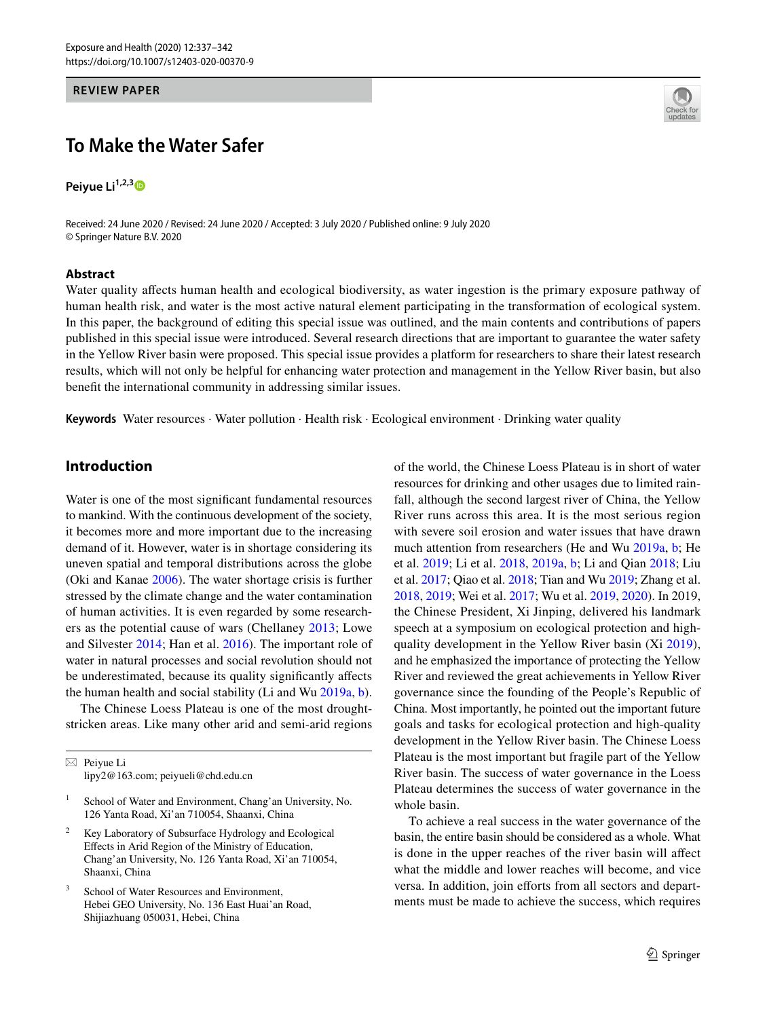#### **REVIEW PAPER**

# **To Make the Water Safer**

**Peiyue Li**<sup>1,2,[3](http://orcid.org/0000-0001-8771-3369)</sup><sup>0</sup>

Received: 24 June 2020 / Revised: 24 June 2020 / Accepted: 3 July 2020 / Published online: 9 July 2020 © Springer Nature B.V. 2020

#### **Abstract**



Water quality affects human health and ecological biodiversity, as water ingestion is the primary exposure pathway of human health risk, and water is the most active natural element participating in the transformation of ecological system. In this paper, the background of editing this special issue was outlined, and the main contents and contributions of papers published in this special issue were introduced. Several research directions that are important to guarantee the water safety in the Yellow River basin were proposed. This special issue provides a platform for researchers to share their latest research results, which will not only be helpful for enhancing water protection and management in the Yellow River basin, but also beneft the international community in addressing similar issues.

**Keywords** Water resources · Water pollution · Health risk · Ecological environment · Drinking water quality

# **Introduction**

Water is one of the most significant fundamental resources to mankind. With the continuous development of the society, it becomes more and more important due to the increasing demand of it. However, water is in shortage considering its uneven spatial and temporal distributions across the globe (Oki and Kanae [2006](#page-5-0)). The water shortage crisis is further stressed by the climate change and the water contamination of human activities. It is even regarded by some researchers as the potential cause of wars (Chellaney [2013](#page-4-0); Lowe and Silvester [2014;](#page-5-1) Han et al. [2016](#page-4-1)). The important role of water in natural processes and social revolution should not be underestimated, because its quality signifcantly afects the human health and social stability (Li and Wu [2019a](#page-5-2), [b](#page-5-3)).

The Chinese Loess Plateau is one of the most droughtstricken areas. Like many other arid and semi-arid regions

 $\boxtimes$  Peiyue Li lipy2@163.com; peiyueli@chd.edu.cn

- School of Water and Environment, Chang'an University, No. 126 Yanta Road, Xi'an 710054, Shaanxi, China
- Key Laboratory of Subsurface Hydrology and Ecological Efects in Arid Region of the Ministry of Education, Chang'an University, No. 126 Yanta Road, Xi'an 710054, Shaanxi, China
- School of Water Resources and Environment, Hebei GEO University, No. 136 East Huai'an Road, Shijiazhuang 050031, Hebei, China

of the world, the Chinese Loess Plateau is in short of water resources for drinking and other usages due to limited rainfall, although the second largest river of China, the Yellow River runs across this area. It is the most serious region with severe soil erosion and water issues that have drawn much attention from researchers (He and Wu [2019a,](#page-4-2) [b;](#page-4-3) He et al. [2019;](#page-4-4) Li et al. [2018](#page-5-4), [2019a,](#page-5-5) [b](#page-5-6); Li and Qian [2018;](#page-4-5) Liu et al. [2017](#page-5-7); Qiao et al. [2018;](#page-5-8) Tian and Wu [2019;](#page-5-9) Zhang et al. [2018](#page-5-10), [2019;](#page-5-11) Wei et al. [2017;](#page-5-12) Wu et al. [2019](#page-5-13), [2020](#page-5-14)). In 2019, the Chinese President, Xi Jinping, delivered his landmark speech at a symposium on ecological protection and highquality development in the Yellow River basin (Xi [2019](#page-5-15)), and he emphasized the importance of protecting the Yellow River and reviewed the great achievements in Yellow River governance since the founding of the People's Republic of China. Most importantly, he pointed out the important future goals and tasks for ecological protection and high-quality development in the Yellow River basin. The Chinese Loess Plateau is the most important but fragile part of the Yellow River basin. The success of water governance in the Loess Plateau determines the success of water governance in the whole basin.

To achieve a real success in the water governance of the basin, the entire basin should be considered as a whole. What is done in the upper reaches of the river basin will affect what the middle and lower reaches will become, and vice versa. In addition, join efforts from all sectors and departments must be made to achieve the success, which requires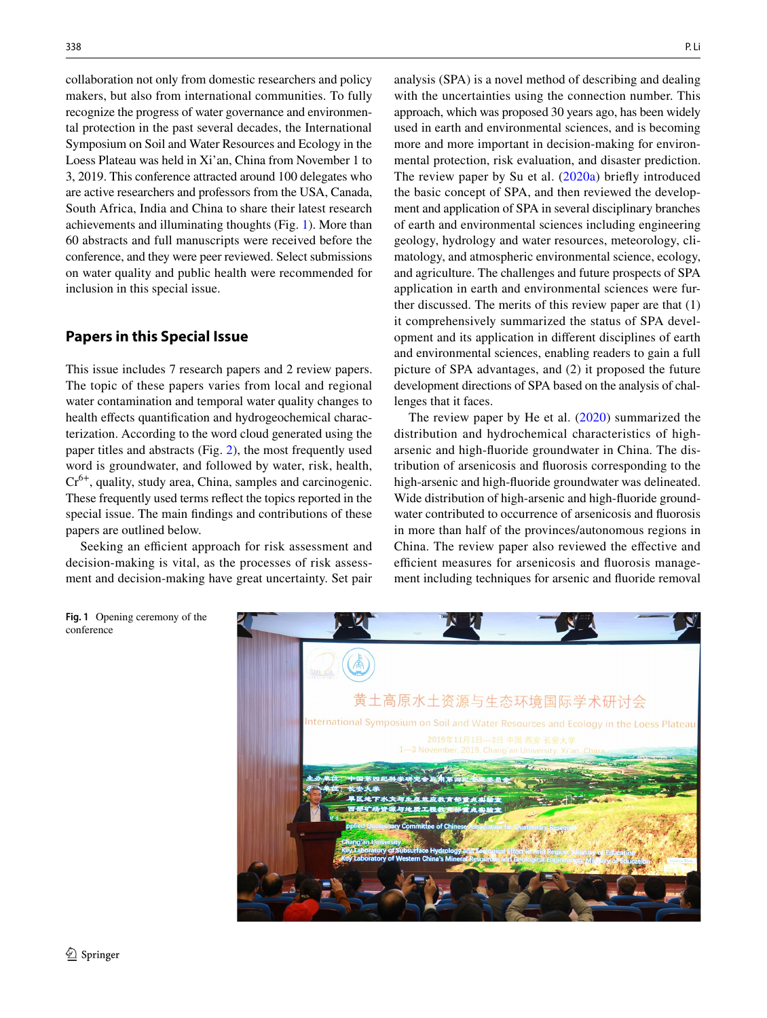collaboration not only from domestic researchers and policy makers, but also from international communities. To fully recognize the progress of water governance and environmental protection in the past several decades, the International Symposium on Soil and Water Resources and Ecology in the Loess Plateau was held in Xi'an, China from November 1 to 3, 2019. This conference attracted around 100 delegates who are active researchers and professors from the USA, Canada, South Africa, India and China to share their latest research achievements and illuminating thoughts (Fig. [1\)](#page-1-0). More than 60 abstracts and full manuscripts were received before the conference, and they were peer reviewed. Select submissions on water quality and public health were recommended for inclusion in this special issue.

## **Papers in this Special Issue**

This issue includes 7 research papers and 2 review papers. The topic of these papers varies from local and regional water contamination and temporal water quality changes to health effects quantification and hydrogeochemical characterization. According to the word cloud generated using the paper titles and abstracts (Fig. [2\)](#page-2-0), the most frequently used word is groundwater, and followed by water, risk, health, Cr6+, quality, study area, China, samples and carcinogenic. These frequently used terms refect the topics reported in the special issue. The main fndings and contributions of these papers are outlined below.

Seeking an efficient approach for risk assessment and decision-making is vital, as the processes of risk assessment and decision-making have great uncertainty. Set pair analysis (SPA) is a novel method of describing and dealing with the uncertainties using the connection number. This approach, which was proposed 30 years ago, has been widely used in earth and environmental sciences, and is becoming more and more important in decision-making for environmental protection, risk evaluation, and disaster prediction. The review paper by Su et al. ([2020a\)](#page-5-16) briefy introduced the basic concept of SPA, and then reviewed the development and application of SPA in several disciplinary branches of earth and environmental sciences including engineering geology, hydrology and water resources, meteorology, climatology, and atmospheric environmental science, ecology, and agriculture. The challenges and future prospects of SPA application in earth and environmental sciences were further discussed. The merits of this review paper are that (1) it comprehensively summarized the status of SPA development and its application in diferent disciplines of earth and environmental sciences, enabling readers to gain a full picture of SPA advantages, and (2) it proposed the future development directions of SPA based on the analysis of challenges that it faces.

The review paper by He et al. [\(2020\)](#page-4-6) summarized the distribution and hydrochemical characteristics of higharsenic and high-fuoride groundwater in China. The distribution of arsenicosis and fuorosis corresponding to the high-arsenic and high-fuoride groundwater was delineated. Wide distribution of high-arsenic and high-fuoride groundwater contributed to occurrence of arsenicosis and fuorosis in more than half of the provinces/autonomous regions in China. The review paper also reviewed the efective and efficient measures for arsenicosis and fluorosis management including techniques for arsenic and fuoride removal

黄土高原水土资源与生态环境国际学术研讨会 nternational Symposium on Soil and Water Resources and Ecology in the Loess Plateau

<span id="page-1-0"></span>**Fig. 1** Opening ceremony of the conference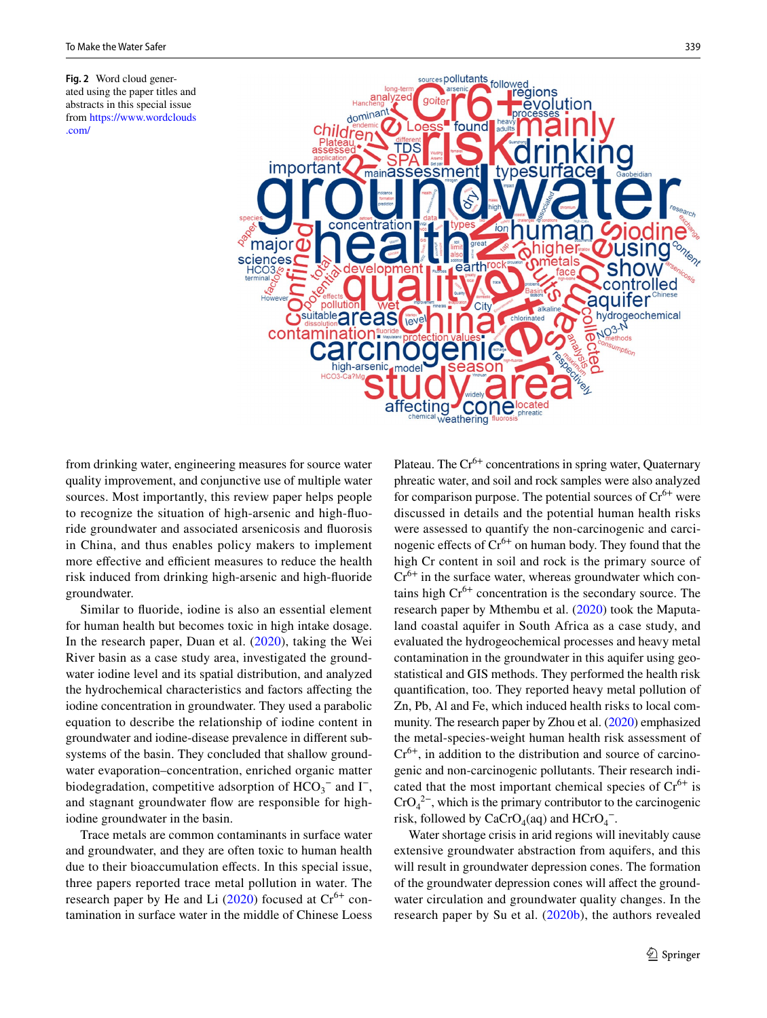<span id="page-2-0"></span>**Fig. 2** Word cloud generated using the paper titles and abstracts in this special issue from [https://www.wordclouds](https://www.wordclouds.com/) [.com/](https://www.wordclouds.com/)



from drinking water, engineering measures for source water quality improvement, and conjunctive use of multiple water sources. Most importantly, this review paper helps people to recognize the situation of high-arsenic and high-fuoride groundwater and associated arsenicosis and fuorosis in China, and thus enables policy makers to implement more effective and efficient measures to reduce the health risk induced from drinking high-arsenic and high-fuoride groundwater.

Similar to fuoride, iodine is also an essential element for human health but becomes toxic in high intake dosage. In the research paper, Duan et al. ([2020](#page-4-7)), taking the Wei River basin as a case study area, investigated the groundwater iodine level and its spatial distribution, and analyzed the hydrochemical characteristics and factors afecting the iodine concentration in groundwater. They used a parabolic equation to describe the relationship of iodine content in groundwater and iodine-disease prevalence in diferent subsystems of the basin. They concluded that shallow groundwater evaporation–concentration, enriched organic matter biodegradation, competitive adsorption of  $HCO_3^-$  and  $I^-,$ and stagnant groundwater flow are responsible for highiodine groundwater in the basin.

Trace metals are common contaminants in surface water and groundwater, and they are often toxic to human health due to their bioaccumulation efects. In this special issue, three papers reported trace metal pollution in water. The research paper by He and Li  $(2020)$  focused at  $Cr^{6+}$  contamination in surface water in the middle of Chinese Loess Plateau. The Cr<sup>6+</sup> concentrations in spring water, Quaternary phreatic water, and soil and rock samples were also analyzed for comparison purpose. The potential sources of  $Cr^{6+}$  were discussed in details and the potential human health risks were assessed to quantify the non-carcinogenic and carcinogenic effects of  $Cr^{6+}$  on human body. They found that the high Cr content in soil and rock is the primary source of  $Cr^{6+}$  in the surface water, whereas groundwater which contains high  $Cr^{6+}$  concentration is the secondary source. The research paper by Mthembu et al. ([2020](#page-5-17)) took the Maputaland coastal aquifer in South Africa as a case study, and evaluated the hydrogeochemical processes and heavy metal contamination in the groundwater in this aquifer using geostatistical and GIS methods. They performed the health risk quantifcation, too. They reported heavy metal pollution of Zn, Pb, Al and Fe, which induced health risks to local community. The research paper by Zhou et al. ([2020](#page-5-18)) emphasized the metal-species-weight human health risk assessment of  $Cr<sup>6+</sup>$ , in addition to the distribution and source of carcinogenic and non-carcinogenic pollutants. Their research indicated that the most important chemical species of  $Cr^{6+}$  is  $CrO<sub>4</sub><sup>2–</sup>$ , which is the primary contributor to the carcinogenic risk, followed by  $CaCrO_4(aq)$  and  $HCrO_4^-$ .

Water shortage crisis in arid regions will inevitably cause extensive groundwater abstraction from aquifers, and this will result in groundwater depression cones. The formation of the groundwater depression cones will affect the groundwater circulation and groundwater quality changes. In the research paper by Su et al. ([2020b\)](#page-5-19), the authors revealed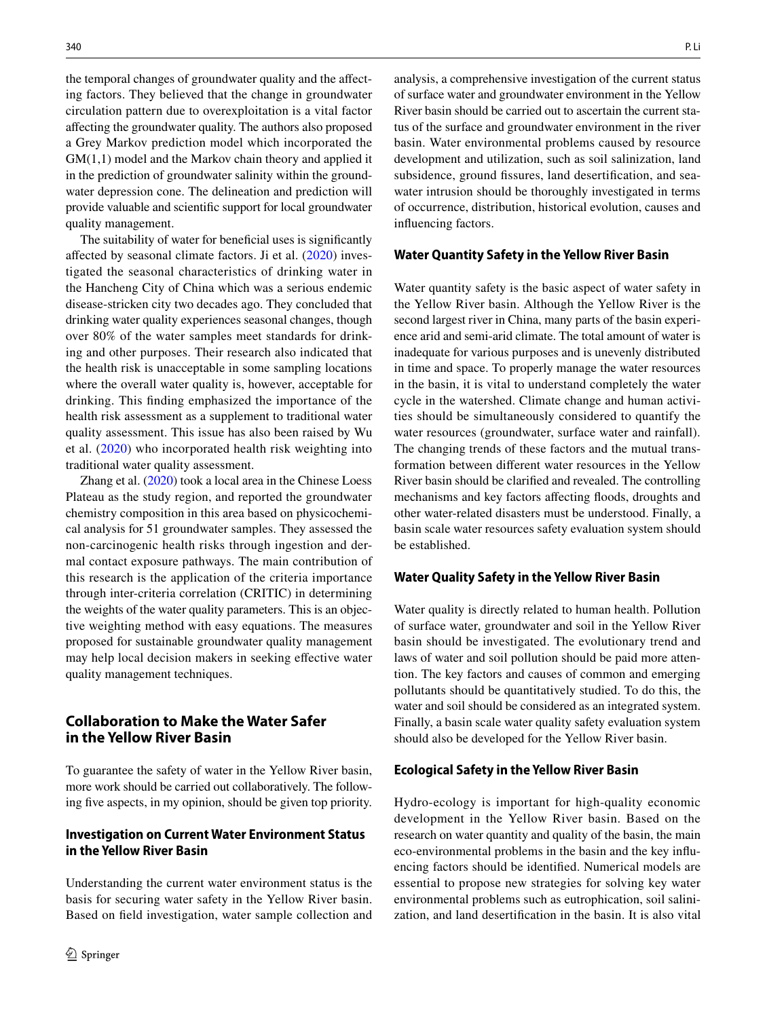the temporal changes of groundwater quality and the affecting factors. They believed that the change in groundwater circulation pattern due to overexploitation is a vital factor afecting the groundwater quality. The authors also proposed a Grey Markov prediction model which incorporated the GM(1,1) model and the Markov chain theory and applied it in the prediction of groundwater salinity within the groundwater depression cone. The delineation and prediction will provide valuable and scientifc support for local groundwater quality management.

The suitability of water for benefcial uses is signifcantly afected by seasonal climate factors. Ji et al. [\(2020\)](#page-4-9) investigated the seasonal characteristics of drinking water in the Hancheng City of China which was a serious endemic disease-stricken city two decades ago. They concluded that drinking water quality experiences seasonal changes, though over 80% of the water samples meet standards for drinking and other purposes. Their research also indicated that the health risk is unacceptable in some sampling locations where the overall water quality is, however, acceptable for drinking. This fnding emphasized the importance of the health risk assessment as a supplement to traditional water quality assessment. This issue has also been raised by Wu et al. [\(2020\)](#page-5-14) who incorporated health risk weighting into traditional water quality assessment.

Zhang et al. ([2020\)](#page-5-20) took a local area in the Chinese Loess Plateau as the study region, and reported the groundwater chemistry composition in this area based on physicochemical analysis for 51 groundwater samples. They assessed the non-carcinogenic health risks through ingestion and dermal contact exposure pathways. The main contribution of this research is the application of the criteria importance through inter-criteria correlation (CRITIC) in determining the weights of the water quality parameters. This is an objective weighting method with easy equations. The measures proposed for sustainable groundwater quality management may help local decision makers in seeking efective water quality management techniques.

# **Collaboration to Make the Water Safer in the Yellow River Basin**

To guarantee the safety of water in the Yellow River basin, more work should be carried out collaboratively. The following fve aspects, in my opinion, should be given top priority.

### **Investigation on Current Water Environment Status in the Yellow River Basin**

Understanding the current water environment status is the basis for securing water safety in the Yellow River basin. Based on feld investigation, water sample collection and analysis, a comprehensive investigation of the current status of surface water and groundwater environment in the Yellow River basin should be carried out to ascertain the current status of the surface and groundwater environment in the river basin. Water environmental problems caused by resource development and utilization, such as soil salinization, land subsidence, ground fissures, land desertification, and seawater intrusion should be thoroughly investigated in terms of occurrence, distribution, historical evolution, causes and infuencing factors.

#### **Water Quantity Safety in the Yellow River Basin**

Water quantity safety is the basic aspect of water safety in the Yellow River basin. Although the Yellow River is the second largest river in China, many parts of the basin experience arid and semi-arid climate. The total amount of water is inadequate for various purposes and is unevenly distributed in time and space. To properly manage the water resources in the basin, it is vital to understand completely the water cycle in the watershed. Climate change and human activities should be simultaneously considered to quantify the water resources (groundwater, surface water and rainfall). The changing trends of these factors and the mutual transformation between diferent water resources in the Yellow River basin should be clarifed and revealed. The controlling mechanisms and key factors afecting foods, droughts and other water-related disasters must be understood. Finally, a basin scale water resources safety evaluation system should be established.

#### **Water Quality Safety in the Yellow River Basin**

Water quality is directly related to human health. Pollution of surface water, groundwater and soil in the Yellow River basin should be investigated. The evolutionary trend and laws of water and soil pollution should be paid more attention. The key factors and causes of common and emerging pollutants should be quantitatively studied. To do this, the water and soil should be considered as an integrated system. Finally, a basin scale water quality safety evaluation system should also be developed for the Yellow River basin.

#### **Ecological Safety in the Yellow River Basin**

Hydro-ecology is important for high-quality economic development in the Yellow River basin. Based on the research on water quantity and quality of the basin, the main eco-environmental problems in the basin and the key infuencing factors should be identifed. Numerical models are essential to propose new strategies for solving key water environmental problems such as eutrophication, soil salinization, and land desertifcation in the basin. It is also vital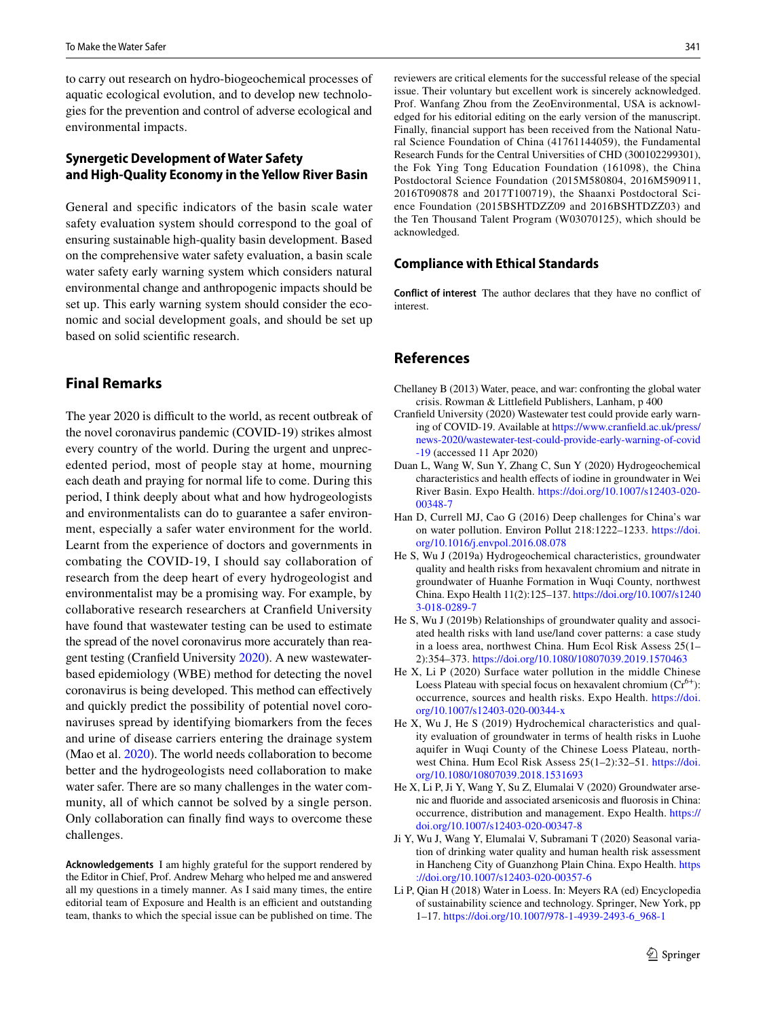to carry out research on hydro-biogeochemical processes of aquatic ecological evolution, and to develop new technologies for the prevention and control of adverse ecological and environmental impacts.

## **Synergetic Development of Water Safety and High‑Quality Economy in the Yellow River Basin**

General and specifc indicators of the basin scale water safety evaluation system should correspond to the goal of ensuring sustainable high-quality basin development. Based on the comprehensive water safety evaluation, a basin scale water safety early warning system which considers natural environmental change and anthropogenic impacts should be set up. This early warning system should consider the economic and social development goals, and should be set up based on solid scientifc research.

## **Final Remarks**

The year 2020 is difficult to the world, as recent outbreak of the novel coronavirus pandemic (COVID-19) strikes almost every country of the world. During the urgent and unprecedented period, most of people stay at home, mourning each death and praying for normal life to come. During this period, I think deeply about what and how hydrogeologists and environmentalists can do to guarantee a safer environment, especially a safer water environment for the world. Learnt from the experience of doctors and governments in combating the COVID-19, I should say collaboration of research from the deep heart of every hydrogeologist and environmentalist may be a promising way. For example, by collaborative research researchers at Cranfeld University have found that wastewater testing can be used to estimate the spread of the novel coronavirus more accurately than reagent testing (Cranfeld University [2020\)](#page-4-10). A new wastewaterbased epidemiology (WBE) method for detecting the novel coronavirus is being developed. This method can efectively and quickly predict the possibility of potential novel coronaviruses spread by identifying biomarkers from the feces and urine of disease carriers entering the drainage system (Mao et al. [2020](#page-5-21)). The world needs collaboration to become better and the hydrogeologists need collaboration to make water safer. There are so many challenges in the water community, all of which cannot be solved by a single person. Only collaboration can fnally fnd ways to overcome these challenges.

**Acknowledgements** I am highly grateful for the support rendered by the Editor in Chief, Prof. Andrew Meharg who helped me and answered all my questions in a timely manner. As I said many times, the entire editorial team of Exposure and Health is an efficient and outstanding team, thanks to which the special issue can be published on time. The reviewers are critical elements for the successful release of the special issue. Their voluntary but excellent work is sincerely acknowledged. Prof. Wanfang Zhou from the ZeoEnvironmental, USA is acknowledged for his editorial editing on the early version of the manuscript. Finally, fnancial support has been received from the National Natural Science Foundation of China (41761144059), the Fundamental Research Funds for the Central Universities of CHD (300102299301), the Fok Ying Tong Education Foundation (161098), the China Postdoctoral Science Foundation (2015M580804, 2016M590911, 2016T090878 and 2017T100719), the Shaanxi Postdoctoral Science Foundation (2015BSHTDZZ09 and 2016BSHTDZZ03) and the Ten Thousand Talent Program (W03070125), which should be acknowledged.

#### **Compliance with Ethical Standards**

**Conflict of interest** The author declares that they have no confict of interest.

# **References**

- <span id="page-4-0"></span>Chellaney B (2013) Water, peace, and war: confronting the global water crisis. Rowman & Littlefeld Publishers, Lanham, p 400
- <span id="page-4-10"></span>Cranfeld University (2020) Wastewater test could provide early warning of COVID-19. Available at [https://www.cranfield.ac.uk/press/](https://www.cranfield.ac.uk/press/news-2020/wastewater-test-could-provide-early-warning-of-covid-19) [news-2020/wastewater-test-could-provide-early-warning-of-covid](https://www.cranfield.ac.uk/press/news-2020/wastewater-test-could-provide-early-warning-of-covid-19) [-19](https://www.cranfield.ac.uk/press/news-2020/wastewater-test-could-provide-early-warning-of-covid-19) (accessed 11 Apr 2020)
- <span id="page-4-7"></span>Duan L, Wang W, Sun Y, Zhang C, Sun Y (2020) Hydrogeochemical characteristics and health efects of iodine in groundwater in Wei River Basin. Expo Health. [https://doi.org/10.1007/s12403-020-](https://doi.org/10.1007/s12403-020-00348-7) [00348-7](https://doi.org/10.1007/s12403-020-00348-7)
- <span id="page-4-1"></span>Han D, Currell MJ, Cao G (2016) Deep challenges for China's war on water pollution. Environ Pollut 218:1222–1233. [https://doi.](https://doi.org/10.1016/j.envpol.2016.08.078) [org/10.1016/j.envpol.2016.08.078](https://doi.org/10.1016/j.envpol.2016.08.078)
- <span id="page-4-2"></span>He S, Wu J (2019a) Hydrogeochemical characteristics, groundwater quality and health risks from hexavalent chromium and nitrate in groundwater of Huanhe Formation in Wuqi County, northwest China. Expo Health 11(2):125–137. [https://doi.org/10.1007/s1240](https://doi.org/10.1007/s12403-018-0289-7) [3-018-0289-7](https://doi.org/10.1007/s12403-018-0289-7)
- <span id="page-4-3"></span>He S, Wu J (2019b) Relationships of groundwater quality and associated health risks with land use/land cover patterns: a case study in a loess area, northwest China. Hum Ecol Risk Assess 25(1– 2):354–373.<https://doi.org/10.1080/10807039.2019.1570463>
- <span id="page-4-8"></span>He X, Li P (2020) Surface water pollution in the middle Chinese Loess Plateau with special focus on hexavalent chromium  $(Cr^{6+})$ : occurrence, sources and health risks. Expo Health. [https://doi.](https://doi.org/10.1007/s12403-020-00344-x) [org/10.1007/s12403-020-00344-x](https://doi.org/10.1007/s12403-020-00344-x)
- <span id="page-4-4"></span>He X, Wu J, He S (2019) Hydrochemical characteristics and quality evaluation of groundwater in terms of health risks in Luohe aquifer in Wuqi County of the Chinese Loess Plateau, northwest China. Hum Ecol Risk Assess 25(1–2):32–51. [https://doi.](https://doi.org/10.1080/10807039.2018.1531693) [org/10.1080/10807039.2018.1531693](https://doi.org/10.1080/10807039.2018.1531693)
- <span id="page-4-6"></span>He X, Li P, Ji Y, Wang Y, Su Z, Elumalai V (2020) Groundwater arsenic and fuoride and associated arsenicosis and fuorosis in China: occurrence, distribution and management. Expo Health. [https://](https://doi.org/10.1007/s12403-020-00347-8) [doi.org/10.1007/s12403-020-00347-8](https://doi.org/10.1007/s12403-020-00347-8)
- <span id="page-4-9"></span>Ji Y, Wu J, Wang Y, Elumalai V, Subramani T (2020) Seasonal variation of drinking water quality and human health risk assessment in Hancheng City of Guanzhong Plain China. Expo Health. [https](https://doi.org/10.1007/s12403-020-00357-6) [://doi.org/10.1007/s12403-020-00357-6](https://doi.org/10.1007/s12403-020-00357-6)
- <span id="page-4-5"></span>Li P, Qian H (2018) Water in Loess. In: Meyers RA (ed) Encyclopedia of sustainability science and technology. Springer, New York, pp 1–17. [https://doi.org/10.1007/978-1-4939-2493-6\\_968-1](https://doi.org/10.1007/978-1-4939-2493-6_968-1)